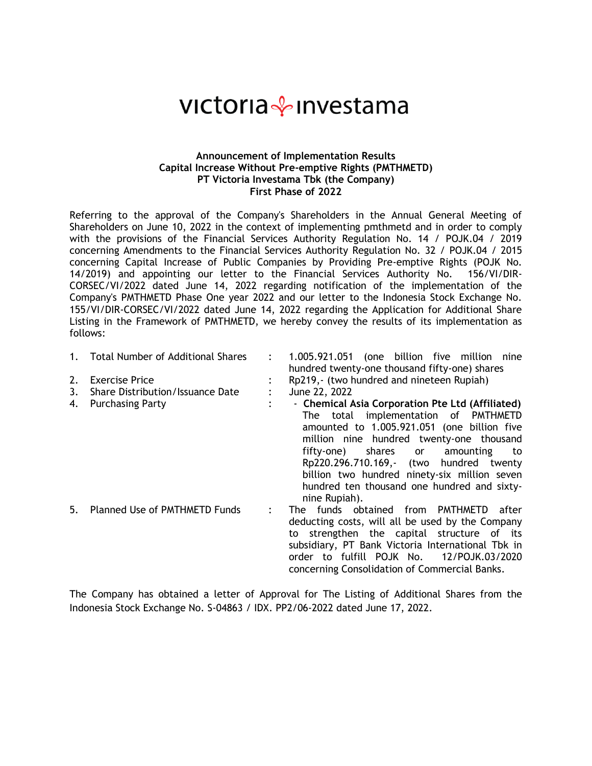## victoria <>
investama

## **Announcement of Implementation Results Capital Increase Without Pre-emptive Rights (PMTHMETD) PT Victoria Investama Tbk (the Company) First Phase of 2022**

Referring to the approval of the Company's Shareholders in the Annual General Meeting of Shareholders on June 10, 2022 in the context of implementing pmthmetd and in order to comply with the provisions of the Financial Services Authority Regulation No. 14 / POJK.04 / 2019 concerning Amendments to the Financial Services Authority Regulation No. 32 / POJK.04 / 2015 concerning Capital Increase of Public Companies by Providing Pre-emptive Rights (POJK No. 14/2019) and appointing our letter to the Financial Services Authority No. 156/VI/DIR-CORSEC/VI/2022 dated June 14, 2022 regarding notification of the implementation of the Company's PMTHMETD Phase One year 2022 and our letter to the Indonesia Stock Exchange No. 155/VI/DIR-CORSEC/VI/2022 dated June 14, 2022 regarding the Application for Additional Share Listing in the Framework of PMTHMETD, we hereby convey the results of its implementation as follows:

|                | 1. Total Number of Additional Shares                                          | $\ddot{\cdot}$ | 1.005.921.051 (one billion five million nine<br>hundred twenty-one thousand fifty-one) shares                                                                                                                                                                                                                                                                                                                                       |
|----------------|-------------------------------------------------------------------------------|----------------|-------------------------------------------------------------------------------------------------------------------------------------------------------------------------------------------------------------------------------------------------------------------------------------------------------------------------------------------------------------------------------------------------------------------------------------|
| 2.<br>3.<br>4. | Exercise Price<br>Share Distribution/Issuance Date<br><b>Purchasing Party</b> |                | Rp219,- (two hundred and nineteen Rupiah)<br>June 22, 2022<br>- Chemical Asia Corporation Pte Ltd (Affiliated)<br>The total implementation of PMTHMETD<br>amounted to 1.005.921.051 (one billion five<br>million nine hundred twenty-one thousand<br>fifty-one) shares or amounting<br>to<br>Rp220.296.710.169,- (two hundred twenty<br>billion two hundred ninety-six million seven<br>hundred ten thousand one hundred and sixty- |
| 5.             | Planned Use of PMTHMETD Funds                                                 | $\ddot{\cdot}$ | nine Rupiah).<br>The funds obtained from PMTHMETD<br>after<br>deducting costs, will all be used by the Company<br>to strengthen the capital structure of its<br>subsidiary, PT Bank Victoria International Tbk in<br>12/POJK.03/2020<br>order to fulfill POJK No.<br>concerning Consolidation of Commercial Banks.                                                                                                                  |

The Company has obtained a letter of Approval for The Listing of Additional Shares from the Indonesia Stock Exchange No. S-04863 / IDX. PP2/06-2022 dated June 17, 2022.